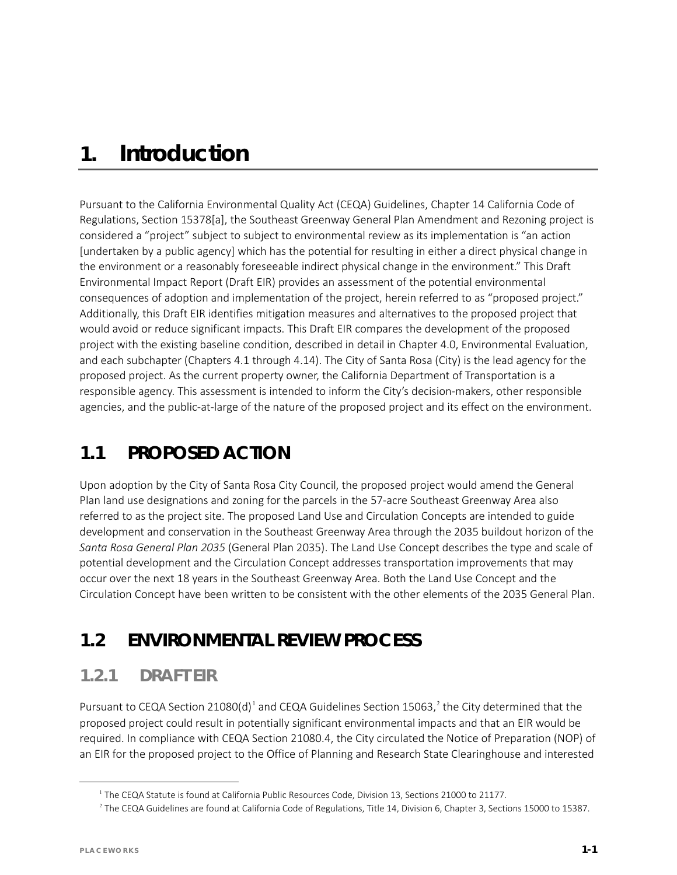# *1. Introduction*

Pursuant to the California Environmental Quality Act (CEQA) Guidelines, Chapter 14 California Code of Regulations, Section 15378[a], the Southeast Greenway General Plan Amendment and Rezoning project is considered a "project" subject to subject to environmental review as its implementation is "an action [undertaken by a public agency] which has the potential for resulting in either a direct physical change in the environment or a reasonably foreseeable indirect physical change in the environment." This Draft Environmental Impact Report (Draft EIR) provides an assessment of the potential environmental consequences of adoption and implementation of the project, herein referred to as "proposed project." Additionally, this Draft EIR identifies mitigation measures and alternatives to the proposed project that would avoid or reduce significant impacts. This Draft EIR compares the development of the proposed project with the existing baseline condition, described in detail in Chapter 4.0, Environmental Evaluation, and each subchapter (Chapters 4.1 through 4.14). The City of Santa Rosa (City) is the lead agency for the proposed project. As the current property owner, the California Department of Transportation is a responsible agency. This assessment is intended to inform the City's decision-makers, other responsible agencies, and the public-at-large of the nature of the proposed project and its effect on the environment.

### **1.1 PROPOSED ACTION**

Upon adoption by the City of Santa Rosa City Council, the proposed project would amend the General Plan land use designations and zoning for the parcels in the 57-acre Southeast Greenway Area also referred to as the project site. The proposed Land Use and Circulation Concepts are intended to guide development and conservation in the Southeast Greenway Area through the 2035 buildout horizon of the *Santa Rosa General Plan 2035* (General Plan 2035). The Land Use Concept describes the type and scale of potential development and the Circulation Concept addresses transportation improvements that may occur over the next 18 years in the Southeast Greenway Area. Both the Land Use Concept and the Circulation Concept have been written to be consistent with the other elements of the 2035 General Plan.

# **1.2 ENVIRONMENTAL REVIEW PROCESS**

### **1.2.1 DRAFT EIR**

Pursuant to CEQA Section 2[1](#page-0-0)080(d)<sup>1</sup> and CEQA Guidelines Section 15063,<sup>[2](#page-0-1)</sup> the City determined that the proposed project could result in potentially significant environmental impacts and that an EIR would be required. In compliance with CEQA Section 21080.4, the City circulated the Notice of Preparation (NOP) of an EIR for the proposed project to the Office of Planning and Research State Clearinghouse and interested

<span id="page-0-1"></span><span id="page-0-0"></span>l

<sup>&</sup>lt;sup>1</sup> The CEQA Statute is found at California Public Resources Code, Division 13, Sections 21000 to 21177.

<sup>&</sup>lt;sup>2</sup> The CEQA Guidelines are found at California Code of Regulations, Title 14, Division 6, Chapter 3, Sections 15000 to 15387.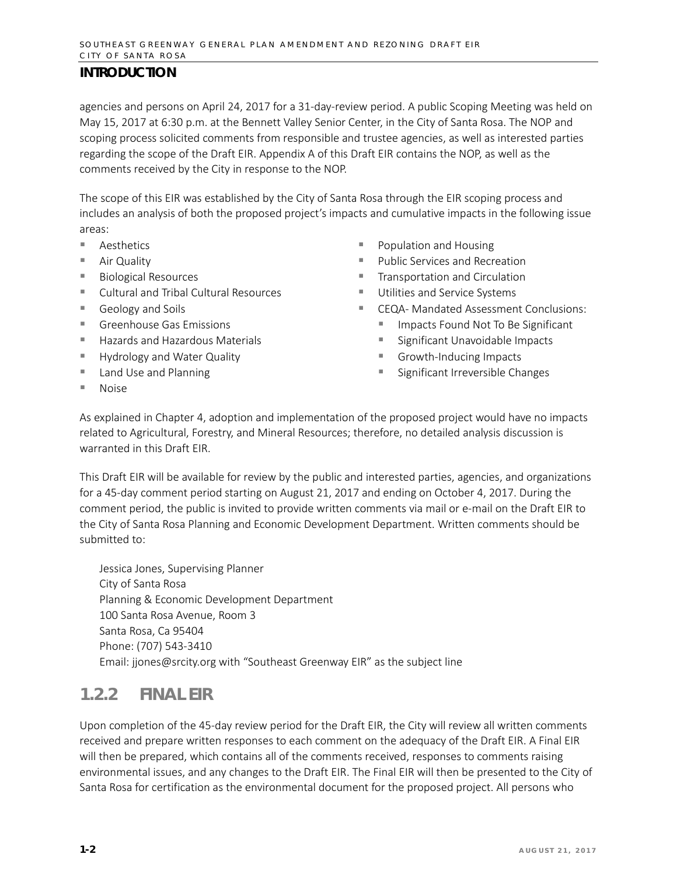agencies and persons on April 24, 2017 for a 31-day-review period. A public Scoping Meeting was held on May 15, 2017 at 6:30 p.m. at the Bennett Valley Senior Center, in the City of Santa Rosa. The NOP and scoping process solicited comments from responsible and trustee agencies, as well as interested parties regarding the scope of the Draft EIR. Appendix A of this Draft EIR contains the NOP, as well as the comments received by the City in response to the NOP.

The scope of this EIR was established by the City of Santa Rosa through the EIR scoping process and includes an analysis of both the proposed project's impacts and cumulative impacts in the following issue areas:

- Aesthetics
- Air Quality
- Biological Resources
- Cultural and Tribal Cultural Resources
- Geology and Soils
- Greenhouse Gas Emissions
- Hazards and Hazardous Materials
- **Hydrology and Water Quality**
- Land Use and Planning
- Population and Housing
- Public Services and Recreation
- **Transportation and Circulation**
- **Utilities and Service Systems**
- CEQA- Mandated Assessment Conclusions:
	- **Impacts Found Not To Be Significant**
	- **Significant Unavoidable Impacts**
	- Growth-Inducing Impacts
	- Significant Irreversible Changes

■ Noise

As explained in Chapter 4, adoption and implementation of the proposed project would have no impacts related to Agricultural, Forestry, and Mineral Resources; therefore, no detailed analysis discussion is warranted in this Draft EIR.

This Draft EIR will be available for review by the public and interested parties, agencies, and organizations for a 45-day comment period starting on August 21, 2017 and ending on October 4, 2017. During the comment period, the public is invited to provide written comments via mail or e-mail on the Draft EIR to the City of Santa Rosa Planning and Economic Development Department. Written comments should be submitted to:

Jessica Jones, Supervising Planner City of Santa Rosa Planning & Economic Development Department 100 Santa Rosa Avenue, Room 3 Santa Rosa, Ca 95404 Phone: (707) 543-3410 Email: [jjones@srcity.org](mailto:jjones@srcity.org) with "Southeast Greenway EIR" as the subject line

### **1.2.2 FINAL EIR**

Upon completion of the 45-day review period for the Draft EIR, the City will review all written comments received and prepare written responses to each comment on the adequacy of the Draft EIR. A Final EIR will then be prepared, which contains all of the comments received, responses to comments raising environmental issues, and any changes to the Draft EIR. The Final EIR will then be presented to the City of Santa Rosa for certification as the environmental document for the proposed project. All persons who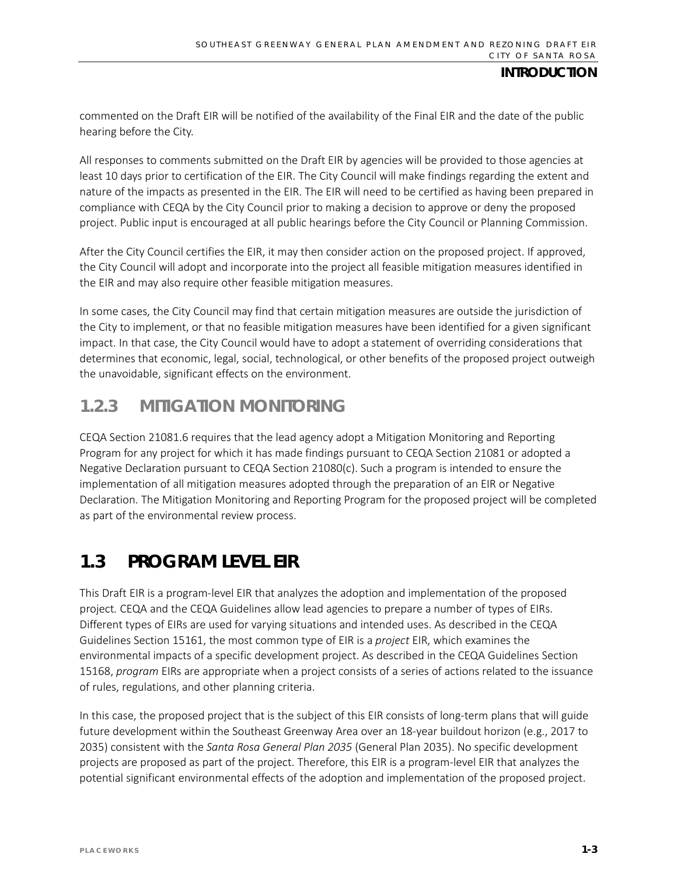commented on the Draft EIR will be notified of the availability of the Final EIR and the date of the public hearing before the City.

All responses to comments submitted on the Draft EIR by agencies will be provided to those agencies at least 10 days prior to certification of the EIR. The City Council will make findings regarding the extent and nature of the impacts as presented in the EIR. The EIR will need to be certified as having been prepared in compliance with CEQA by the City Council prior to making a decision to approve or deny the proposed project. Public input is encouraged at all public hearings before the City Council or Planning Commission.

After the City Council certifies the EIR, it may then consider action on the proposed project. If approved, the City Council will adopt and incorporate into the project all feasible mitigation measures identified in the EIR and may also require other feasible mitigation measures.

In some cases, the City Council may find that certain mitigation measures are outside the jurisdiction of the City to implement, or that no feasible mitigation measures have been identified for a given significant impact. In that case, the City Council would have to adopt a statement of overriding considerations that determines that economic, legal, social, technological, or other benefits of the proposed project outweigh the unavoidable, significant effects on the environment.

### **1.2.3 MITIGATION MONITORING**

CEQA Section 21081.6 requires that the lead agency adopt a Mitigation Monitoring and Reporting Program for any project for which it has made findings pursuant to CEQA Section 21081 or adopted a Negative Declaration pursuant to CEQA Section 21080(c). Such a program is intended to ensure the implementation of all mitigation measures adopted through the preparation of an EIR or Negative Declaration. The Mitigation Monitoring and Reporting Program for the proposed project will be completed as part of the environmental review process.

# **1.3 PROGRAM LEVEL EIR**

This Draft EIR is a program-level EIR that analyzes the adoption and implementation of the proposed project*.* CEQA and the CEQA Guidelines allow lead agencies to prepare a number of types of EIRs. Different types of EIRs are used for varying situations and intended uses. As described in the CEQA Guidelines Section 15161, the most common type of EIR is a *project* EIR, which examines the environmental impacts of a specific development project. As described in the CEQA Guidelines Section 15168, *program* EIRs are appropriate when a project consists of a series of actions related to the issuance of rules, regulations, and other planning criteria.

In this case, the proposed project that is the subject of this EIR consists of long-term plans that will guide future development within the Southeast Greenway Area over an 18-year buildout horizon (e.g., 2017 to 2035) consistent with the *Santa Rosa General Plan 2035* (General Plan 2035). No specific development projects are proposed as part of the project. Therefore, this EIR is a program-level EIR that analyzes the potential significant environmental effects of the adoption and implementation of the proposed project.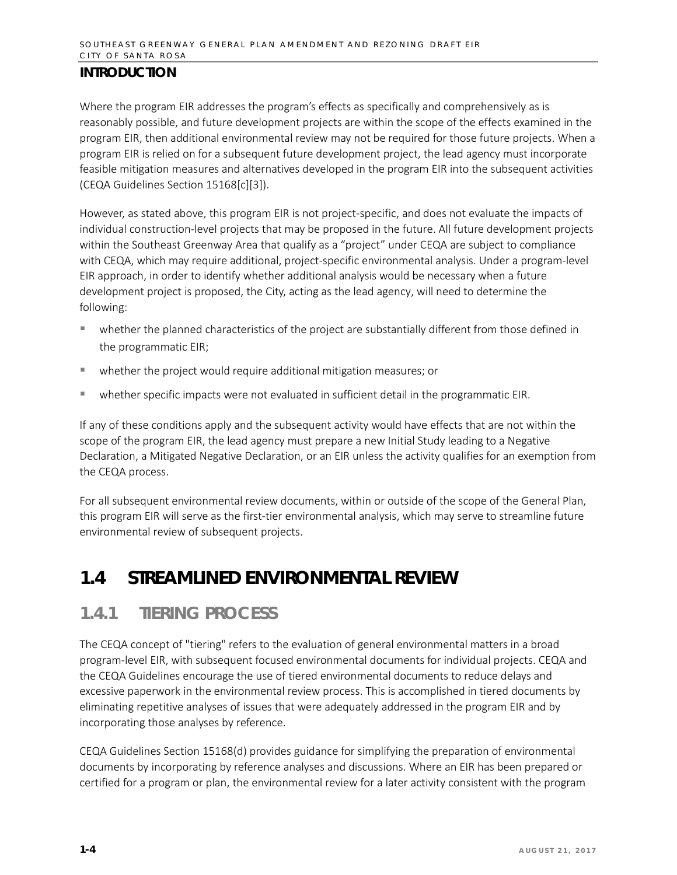Where the program EIR addresses the program's effects as specifically and comprehensively as is reasonably possible, and future development projects are within the scope of the effects examined in the program EIR, then additional environmental review may not be required for those future projects. When a program EIR is relied on for a subsequent future development project, the lead agency must incorporate feasible mitigation measures and alternatives developed in the program EIR into the subsequent activities (CEQA Guidelines Section 15168[c][3]).

However, as stated above, this program EIR is not project-specific, and does not evaluate the impacts of individual construction-level projects that may be proposed in the future. All future development projects within the Southeast Greenway Area that qualify as a "project" under CEQA are subject to compliance with CEQA, which may require additional, project-specific environmental analysis. Under a program-level EIR approach, in order to identify whether additional analysis would be necessary when a future development project is proposed, the City, acting as the lead agency, will need to determine the following:

- whether the planned characteristics of the project are substantially different from those defined in the programmatic EIR;
- whether the project would require additional mitigation measures; or
- whether specific impacts were not evaluated in sufficient detail in the programmatic EIR.

If any of these conditions apply and the subsequent activity would have effects that are not within the scope of the program EIR, the lead agency must prepare a new Initial Study leading to a Negative Declaration, a Mitigated Negative Declaration, or an EIR unless the activity qualifies for an exemption from the CEQA process.

For all subsequent environmental review documents, within or outside of the scope of the General Plan, this program EIR will serve as the first-tier environmental analysis, which may serve to streamline future environmental review of subsequent projects.

### **1.4 STREAMLINED ENVIRONMENTAL REVIEW**

### **1.4.1 TIERING PROCESS**

The CEQA concept of "tiering" refers to the evaluation of general environmental matters in a broad program-level EIR, with subsequent focused environmental documents for individual projects. CEQA and the CEQA Guidelines encourage the use of tiered environmental documents to reduce delays and excessive paperwork in the environmental review process. This is accomplished in tiered documents by eliminating repetitive analyses of issues that were adequately addressed in the program EIR and by incorporating those analyses by reference.

CEQA Guidelines Section 15168(d) provides guidance for simplifying the preparation of environmental documents by incorporating by reference analyses and discussions. Where an EIR has been prepared or certified for a program or plan, the environmental review for a later activity consistent with the program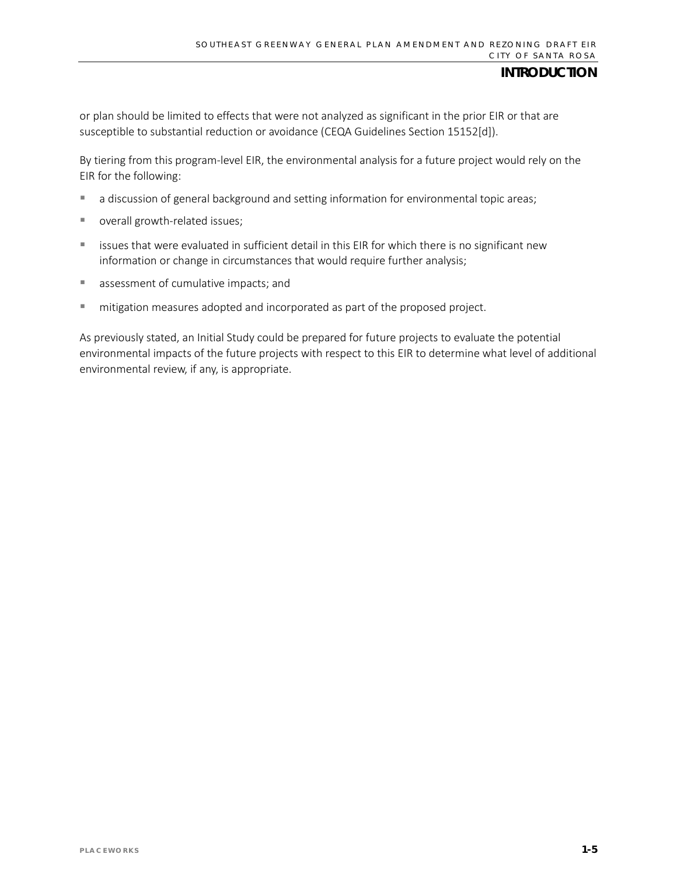or plan should be limited to effects that were not analyzed as significant in the prior EIR or that are susceptible to substantial reduction or avoidance (CEQA Guidelines Section 15152[d]).

By tiering from this program-level EIR, the environmental analysis for a future project would rely on the EIR for the following:

- **a** discussion of general background and setting information for environmental topic areas;
- overall growth-related issues;
- **EXEDEE ISSUES that were evaluated in sufficient detail in this EIR for which there is no significant new** information or change in circumstances that would require further analysis;
- **assessment of cumulative impacts; and**
- mitigation measures adopted and incorporated as part of the proposed project.

As previously stated, an Initial Study could be prepared for future projects to evaluate the potential environmental impacts of the future projects with respect to this EIR to determine what level of additional environmental review, if any, is appropriate.